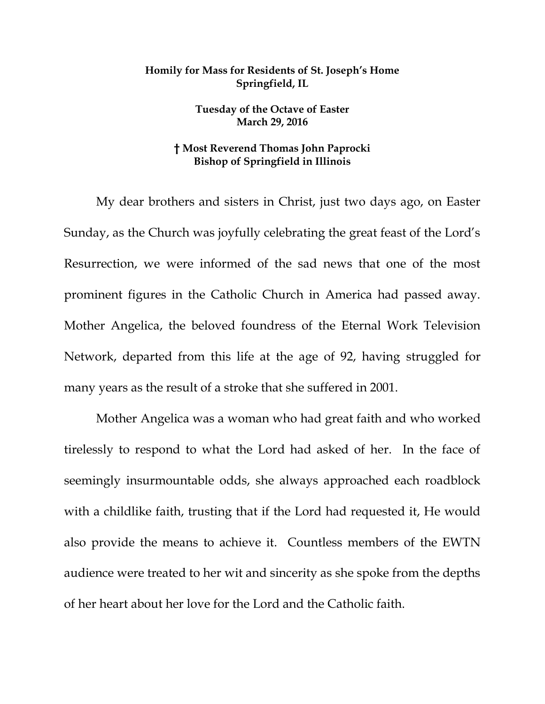## **Homily for Mass for Residents of St. Joseph's Home Springfield, IL**

**Tuesday of the Octave of Easter March 29, 2016**

## **† Most Reverend Thomas John Paprocki Bishop of Springfield in Illinois**

My dear brothers and sisters in Christ, just two days ago, on Easter Sunday, as the Church was joyfully celebrating the great feast of the Lord's Resurrection, we were informed of the sad news that one of the most prominent figures in the Catholic Church in America had passed away. Mother Angelica, the beloved foundress of the Eternal Work Television Network, departed from this life at the age of 92, having struggled for many years as the result of a stroke that she suffered in 2001.

Mother Angelica was a woman who had great faith and who worked tirelessly to respond to what the Lord had asked of her. In the face of seemingly insurmountable odds, she always approached each roadblock with a childlike faith, trusting that if the Lord had requested it, He would also provide the means to achieve it. Countless members of the EWTN audience were treated to her wit and sincerity as she spoke from the depths of her heart about her love for the Lord and the Catholic faith.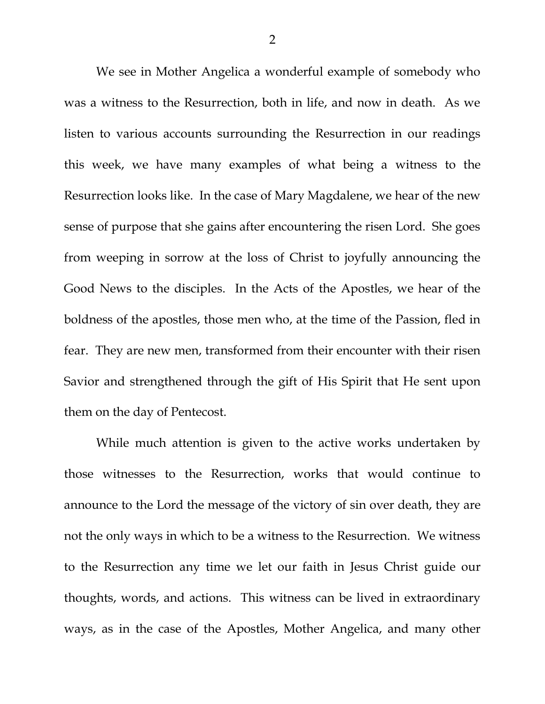We see in Mother Angelica a wonderful example of somebody who was a witness to the Resurrection, both in life, and now in death. As we listen to various accounts surrounding the Resurrection in our readings this week, we have many examples of what being a witness to the Resurrection looks like. In the case of Mary Magdalene, we hear of the new sense of purpose that she gains after encountering the risen Lord. She goes from weeping in sorrow at the loss of Christ to joyfully announcing the Good News to the disciples. In the Acts of the Apostles, we hear of the boldness of the apostles, those men who, at the time of the Passion, fled in fear. They are new men, transformed from their encounter with their risen Savior and strengthened through the gift of His Spirit that He sent upon them on the day of Pentecost.

While much attention is given to the active works undertaken by those witnesses to the Resurrection, works that would continue to announce to the Lord the message of the victory of sin over death, they are not the only ways in which to be a witness to the Resurrection. We witness to the Resurrection any time we let our faith in Jesus Christ guide our thoughts, words, and actions. This witness can be lived in extraordinary ways, as in the case of the Apostles, Mother Angelica, and many other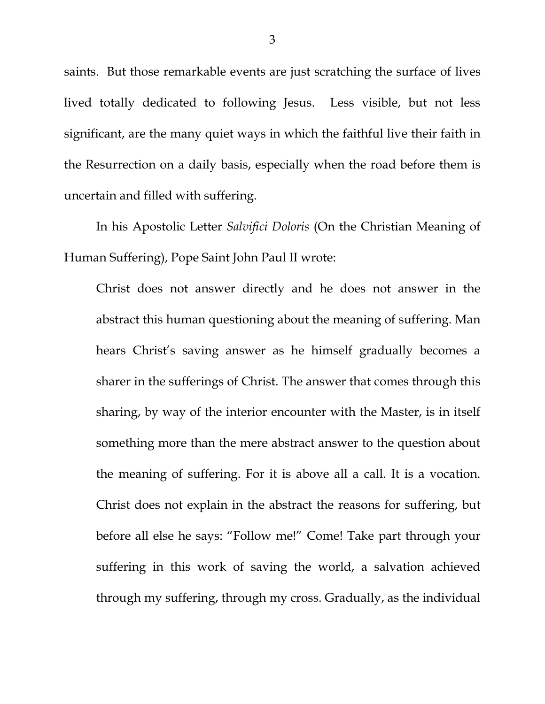saints. But those remarkable events are just scratching the surface of lives lived totally dedicated to following Jesus. Less visible, but not less significant, are the many quiet ways in which the faithful live their faith in the Resurrection on a daily basis, especially when the road before them is uncertain and filled with suffering.

In his Apostolic Letter *Salvifici Doloris* (On the Christian Meaning of Human Suffering), Pope Saint John Paul II wrote:

Christ does not answer directly and he does not answer in the abstract this human questioning about the meaning of suffering. Man hears Christ's saving answer as he himself gradually becomes a sharer in the sufferings of Christ. The answer that comes through this sharing, by way of the interior encounter with the Master, is in itself something more than the mere abstract answer to the question about the meaning of suffering. For it is above all a call. It is a vocation. Christ does not explain in the abstract the reasons for suffering, but before all else he says: "Follow me!" Come! Take part through your suffering in this work of saving the world, a salvation achieved through my suffering, through my cross. Gradually, as the individual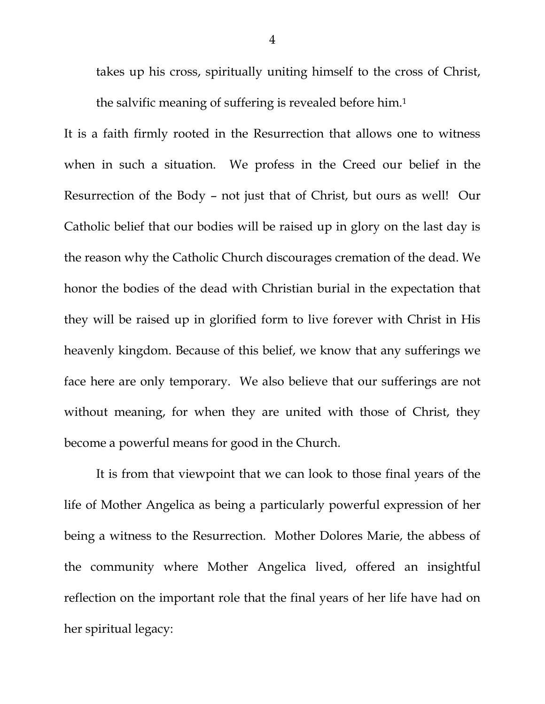takes up his cross, spiritually uniting himself to the cross of Christ, the salvific meaning of suffering is revealed before him.<sup>1</sup>

It is a faith firmly rooted in the Resurrection that allows one to witness when in such a situation. We profess in the Creed our belief in the Resurrection of the Body – not just that of Christ, but ours as well! Our Catholic belief that our bodies will be raised up in glory on the last day is the reason why the Catholic Church discourages cremation of the dead. We honor the bodies of the dead with Christian burial in the expectation that they will be raised up in glorified form to live forever with Christ in His heavenly kingdom. Because of this belief, we know that any sufferings we face here are only temporary. We also believe that our sufferings are not without meaning, for when they are united with those of Christ, they become a powerful means for good in the Church.

It is from that viewpoint that we can look to those final years of the life of Mother Angelica as being a particularly powerful expression of her being a witness to the Resurrection. Mother Dolores Marie, the abbess of the community where Mother Angelica lived, offered an insightful reflection on the important role that the final years of her life have had on her spiritual legacy: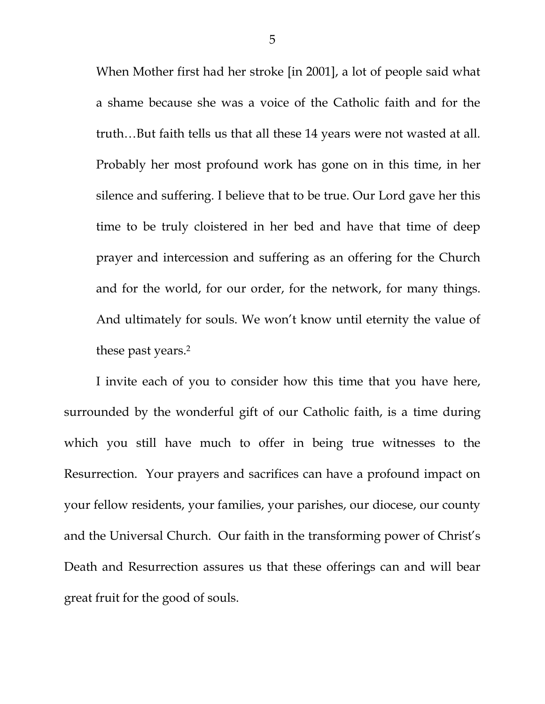When Mother first had her stroke [in 2001], a lot of people said what a shame because she was a voice of the Catholic faith and for the truth…But faith tells us that all these 14 years were not wasted at all. Probably her most profound work has gone on in this time, in her silence and suffering. I believe that to be true. Our Lord gave her this time to be truly cloistered in her bed and have that time of deep prayer and intercession and suffering as an offering for the Church and for the world, for our order, for the network, for many things. And ultimately for souls. We won't know until eternity the value of these past years.<sup>2</sup>

I invite each of you to consider how this time that you have here, surrounded by the wonderful gift of our Catholic faith, is a time during which you still have much to offer in being true witnesses to the Resurrection. Your prayers and sacrifices can have a profound impact on your fellow residents, your families, your parishes, our diocese, our county and the Universal Church. Our faith in the transforming power of Christ's Death and Resurrection assures us that these offerings can and will bear great fruit for the good of souls.